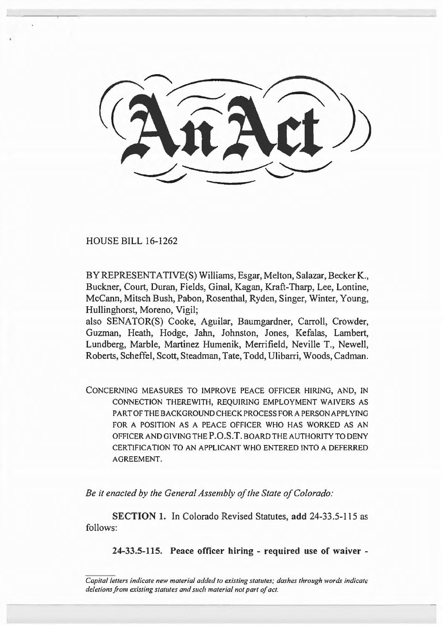HOUSE BILL 16-1262

BY REPRESENTATIVE(S) Williams, Esgar, Melton, Salazar, Becker K., Buckner, Court, Duran, Fields, Ginal, Kagan, Kraft-Tharp, Lee, Lontine, McCann, Mitsch Bush, Pabon, Rosenthal, Ryden, Singer, Winter, Young, Hullinghorst, Moreno, Vigil;

also SENATOR(S) Cooke, Aguilar, Baumgardner, Carroll, Crowder, Guzman, Heath, Hodge, Jahn, Johnston, Jones, Kefalas, Lambert, Lundberg, Marble, Martinez Humenik, Merrifield, Neville T., Newell, Roberts, Scheffel, Scott, Steadman, Tate, Todd, Ulibarri, Woods, Cadman.

CONCERNING MEASURES TO IMPROVE PEACE OFFICER HIRING, AND, IN CONNECTION THEREWITH, REQUIRING EMPLOYMENT WAIVERS AS PART OF THE BACKGROUND CHECK PROCESS FOR A PERSON APPLYING FOR A POSITION AS A PEACE OFFICER WHO HAS WORKED AS AN OFFICER AND GIVING THE P.O.S.T. BOARD THE AUTHORITY TO DENY CERTIFICATION TO AN APPLICANT WHO ENTERED INTO A DEFERRED AGREEMENT.

*Be it enacted by the General Assembly of the State of Colorado:* 

SECTION 1. In Colorado Revised Statutes, add 24-33.5-115 as follows:

24-33.5-115. Peace officer hiring - required use of waiver -

*Capital letters indicate new material added to existing statutes; dashes through words indicate deletions from existing statutes and such material not part of act.*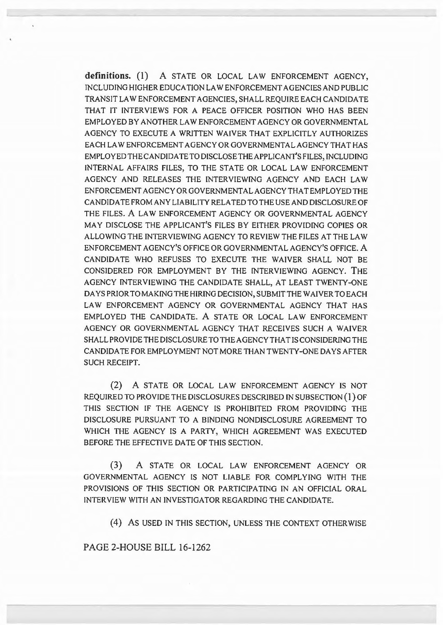**definitions.** (1) A STATE OR LOCAL LAW ENFORCEMENT AGENCY, INCLUDING HIGHER EDUCATION LAW ENFORCEMENT AGENCIES AND PUBLIC TRANSIT LAW ENFORCEMENT AGENCIES, SHALL REQUIRE EACH CANDIDATE THAT IT INTERVIEWS FOR A PEACE OFFICER POSITION WHO HAS BEEN EMPLOYED BY ANOTHER LAW ENFORCEMENT AGENCY OR GOVERNMENTAL AGENCY TO EXECUTE A WRITIEN WAIVER THAT EXPLICITLY AUTHORIZES EACH LAW ENFORCEMENT AGENCY OR GOVERNMENTAL AGENCY THAT HAS EMPLOYED THE CANDIDA TE TO DISCLOSE THE APPLICANT'S FILES, INCLUDING INTERNAL AFFAIRS FILES, TO THE STATE OR LOCAL LAW ENFORCEMENT AGENCY AND RELEASES THE INTERVIEWING AGENCY AND EACH LAW ENFORCEMENTAGENCYORGOVERNMENTALAGENCYTHATEMPLOYEDTHE CANDIDA TE FROM ANY LIABILITY RELATED TO THE USE AND DISCLOSURE OF THE FILES. A LAW ENFORCEMENT AGENCY OR GOVERNMENTAL AGENCY MAY DISCLOSE THE APPLICANT'S FILES BY EITHER PROVIDING COPIES OR ALLOWING THE INTERVIEWING AGENCY TO REVIEW THE FILES AT THE LAW ENFORCEMENT AGENCY'S OFFICE OR GOVERNMENTAL AGENCY'S OFFICE. A CANDIDATE WHO REFUSES TO EXECUTE THE WAIVER SHALL NOT BE CONSIDERED FOR EMPLOYMENT BY THE INTERVIEWING AGENCY. THE AGENCY INTERVIEWING THE CANDIDATE SHALL, AT LEAST TWENTY-ONE DAYS PRIOR TO MAKING THE HIRING DECISION, SUBMIT THE WAIVER TO EACH LAW ENFORCEMENT AGENCY OR GOVERNMENTAL AGENCY THAT HAS EMPLOYED THE CANDIDATE. A STATE OR LOCAL LAW ENFORCEMENT AGENCY OR GOVERNMENTAL AGENCY THAT RECEIVES SUCH A WAIVER SHALL PROVIDE THE DISCLOSURE TO THE AGENCY THAT IS CONSIDERING THE CANDIDA TE FOR EMPLOYMENT NOT MORE THAN TWENTY-ONE DAYS AFTER SUCH RECEIPT.

(2) A STATE OR LOCAL LAW ENFORCEMENT AGENCY IS NOT REQUIRED TO PROVIDE THE DISCLOSURES DESCRIBED JN SUBSECTION **(1)** OF THIS SECTION IF THE AGENCY IS PROHIBITED FROM PROVIDING THE DISCLOSURE PURSUANT TO A BINDING NONDISCLOSURE AGREEMENT TO WHICH THE AGENCY IS A PARTY, WHICH AGREEMENT WAS EXECUTED BEFORE THE EFFECTIVE DATE OF THIS SECTION.

(3) A STATE OR LOCAL LAW ENFORCEMENT AGENCY OR GOVERNMENTAL AGENCY IS NOT LIABLE FOR COMPLYING WITH THE PROVISIONS OF THIS SECTION OR PARTICIPATING IN AN OFFICIAL ORAL INTERVIEW WITH AN INVESTIGATOR REGARDING THE CANDIDATE.

(4) As USED IN THIS SECTION, UNLESS THE CONTEXT OTHERWISE

PAGE 2-HOUSE BILL 16-1262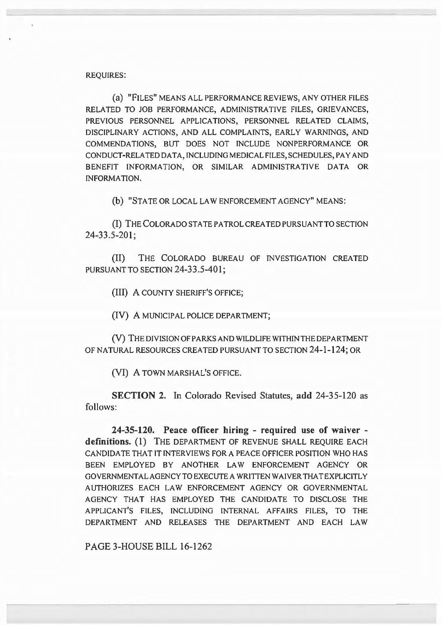## REQUIRES:

(a) "FILES" MEANS ALL PERFORMANCE REVIEWS, ANY OTHER FILES RELATED TO JOB PERFORMANCE, ADMINISTRATIVE FILES, GRIEVANCES, PREVIOUS PERSONNEL APPLICATIONS, PERSONNEL RELATED CLAIMS, DISCIPLINARY ACTIONS, AND ALL COMPLAINTS, EARLY WARNINGS, AND COMMENDATIONS, BUT DOES NOT INCLUDE NONPERFORMANCE OR CONDUCT-RELATED DATA, INCLUDING MEDICAL FILES, SCHEDULES, PAY AND BENEFIT INFORMATION, OR SIMILAR ADMINISTRATIVE DATA OR INFORMATION.

(b) "STATE OR LOCAL LAW ENFORCEMENT AGENCY" MEANS:

(I) THE COLORADO STATE PATROL CREATED PURSUANT TO SECTION 24-33.5-201;

(II) THE COLORADO BUREAU OF INVESTIGATION CREATED PURSUANT TO SECTION 24-33.5-401;

(III) A COUNTY SHERIFF'S OFFICE;

(IV) A MUNICIPAL POLICE DEPARTMENT;

(V) THE DIVISION OF PARKS AND WILDLIFE WITHIN THE DEPARTMENT OF NATURAL RESOURCES CREATED PURSUANT TO SECTION 24-1-124; OR

(VI) A TOWN MARSHAL'S OFFICE.

SECTION 2. In Colorado Revised Statutes, add 24-35-120 as follows:

24-35-120. Peace officer hiring - required use of waiver definitions. (1) THE DEPARTMENT OF REVENUE SHALL REQUIRE EACH CANDIDA TE THAT IT INTERVIEWS FOR A PEACE OFFICER POSITION WHO HAS BEEN EMPLOYED BY ANOTHER LAW ENFORCEMENT AGENCY OR GOVERNMENTAL AGENCY TO EXECUTE A WRITTEN WAIVER THAT EXPLICITLY AUTHORIZES EACH LAW ENFORCEMENT AGENCY OR GOVERNMENTAL AGENCY THAT HAS EMPLOYED THE CANDIDATE TO DISCLOSE THE APPLICANT'S FILES, INCLUDING INTERNAL AFFAIRS FILES, TO THE DEPARTMENT AND RELEASES THE DEPARTMENT AND EACH LAW

PAGE 3-HOUSE BILL 16-1262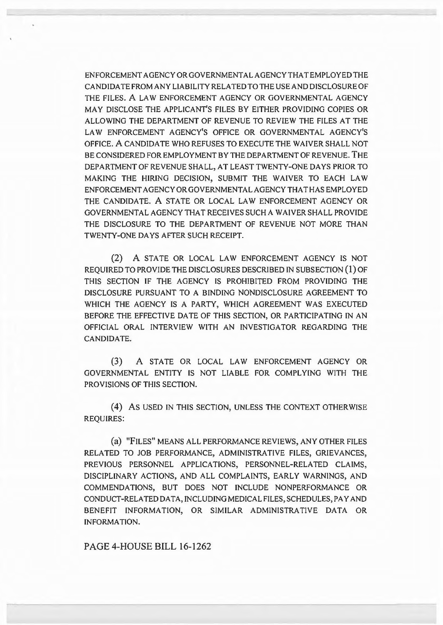ENFORCEMENTAGENCYORGOVERNMENTALAGENCYTHATEMPLOYEDTHE CANDIDA TE FROM ANY LIABILITY RELATED TO THE USE AND DISCLOSURE OF THE FILES. A LAW ENFORCEMENT AGENCY OR GOVERNMENTAL AGENCY MAY DISCLOSE THE APPLICANT'S FILES BY EITHER PROVIDING COPIES OR ALLOWING THE DEPARTMENT OF REVENUE TO REVIEW THE FILES AT THE LAW ENFORCEMENT AGENCY'S OFFICE OR GOVERNMENTAL AGENCY'S OFFICE. A CANDIDA TE WHO REFUSES TO EXECUTE THE WAIVER SHALL NOT BE CONSIDERED FOR EMPLOYMENT BY THE DEPARTMENT OF REVENUE. THE DEPARTMENT OF REVENUE SHALL, AT LEAST TWENTY-ONE DAYS PRIOR TO MAKING THE HIRING DECISION, SUBMIT THE WAIVER TO EACH LAW ENFORCEMENTAGENCYORGOVERNMENTALAGENCYTHATHASEMPLOYED THE CANDIDATE. A STATE OR LOCAL LAW ENFORCEMENT AGENCY OR GOVERNMENTAL AGENCY THAT RECEIVES SUCH A WAIVER SHALL PROVIDE THE DISCLOSURE TO THE DEPARTMENT OF REVENUE NOT MORE THAN TWENTY-ONE DAYS AFTER SUCH RECEIPT.

(2) A STATE OR LOCAL LAW ENFORCEMENT AGENCY IS NOT REQUIRED TO PROVIDE THE DISCLOSURES DESCRIBED IN SUBSECTION ( 1) OF THIS SECTION IF THE AGENCY IS PROHIBITED FROM PROVIDING THE DISCLOSURE PURSUANT TO A BINDING NONDISCLOSURE AGREEMENT TO WHICH THE AGENCY IS A PARTY, WHICH AGREEMENT WAS EXECUTED BEFORE THE EFFECTIVE DATE OF THIS SECTION, OR PARTICIPATING IN AN OFFICIAL ORAL INTERVIEW WITH AN INVESTIGATOR REGARDING THE CANDIDATE.

(3) A STATE OR LOCAL LAW ENFORCEMENT AGENCY OR GOVERNMENTAL ENTITY IS NOT LIABLE FOR COMPLYING WITH THE PROVISIONS OF THIS SECTION.

(4) AS USED IN THIS SECTION, UNLESS THE CONTEXT OTHERWISE REQUIRES:

(a) "FILES" MEANS ALL PERFORMANCE REVIEWS, ANY OTHER FILES RELATED TO JOB PERFORMANCE, ADMINISTRATIVE FILES, GRIEVANCES, PREVIOUS PERSONNEL APPLICATIONS, PERSONNEL-RELATED CLAIMS, DISCIPLINARY ACTIONS, AND ALL COMPLAINTS, EARLY WARNINGS, AND COMMENDATIONS, BUT DOES NOT INCLUDE NONPERFORMANCE OR CONDUCT-RELATED DATA, INCLUDING MEDICAL FILES, SCHEDULES, PAY AND BENEFIT INFORMATION, OR SIMILAR ADMINISTRATIVE DATA OR INFORMATION.

PAGE 4-HOUSE BILL 16-1262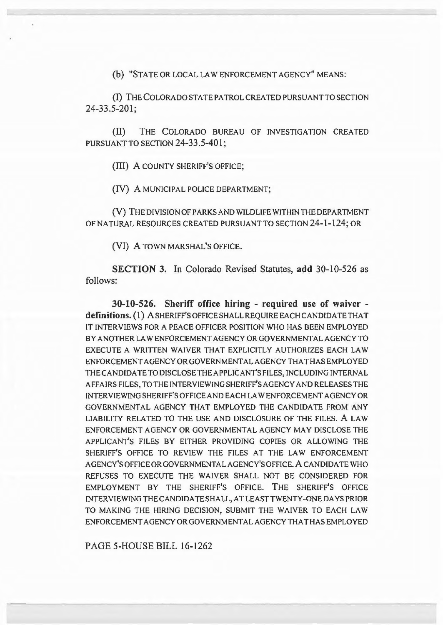(b) "STATE OR LOCAL LAW ENFORCEMENT AGENCY" MEANS:

(I) THE COLORADO STATE PATROL CREATED PURSUANT TO SECTION 24-33.5-201;

(II) THE COLORADO BUREAU OF INVESTIGATION CREATED PURSUANT TO SECTION 24-33.5-401;

(III) A COUNTY SHERIFF'S OFFICE;

(IV) A MUNICIPAL POLICE DEPARTMENT;

(V) THE DIVISION OF PARKS AND WILDLIFE WITHIN THE DEPARTMENT OF NATURAL RESOURCES CREATED PURSUANT TO SECTION 24-1-124; OR

(VI) A TOWN MARSHAL'S OFFICE.

**SECTION** 3. In Colorado Revised Statutes, **add** 30-10-526 as follows:

**30-10-526. Sheriff office hiring - required use of waiver definitions.** (1) A SHERIFF'S OFFICE SHALL REQUIRE EACH CANDIDA TE THAT IT INTERVIEWS FOR A PEACE OFFICER POSITION WHO HAS BEEN EMPLOYED BY ANOTHER LAW ENFORCEMENT AGENCY OR GOVERNMENTAL AGENCY TO EXECUTE A WRITTEN WAIVER THAT EXPLICITLY AUTHORIZES EACH LAW ENFORCEMENTAGENCYORGOVERNMENTALAGENCYTHATHASEMPLOYED THE CANDIDA TE TO DISCLOSE THE APPLICANT'S FILES, INCLUDING INTERNAL AFFAIRS FILES, TO THE INTERVIEWING SHERIFF'S AGENCY AND RELEASES THE INTER VIEWING SHERIFF'S OFFICE AND EACH LAW ENFORCEMENT AGENCY OR GOVERNMENTAL AGENCY THAT EMPLOYED THE CANDIDATE FROM ANY LIABILITY RELATED TO THE USE AND DISCLOSURE OF THE FILES. A LAW ENFORCEMENT AGENCY OR GOVERNMENTAL AGENCY MAY DISCLOSE THE APPLICANT'S FILES BY EITHER PROVIDING COPIES OR ALLOWING THE SHERIFF'S OFFICE TO REVIEW THE FILES AT THE LAW ENFORCEMENT AGENCY'SOFFICEORGOVERNMENTALAGENCY'SOFFICE.ACANDIDATEWHO REFUSES TO EXECUTE THE WAIVER SHALL NOT BE CONSIDERED FOR EMPLOYMENT BY THE SHERIFF'S OFFICE. THE SHERIFF'S OFFICE INTERVIEWING THE CANDIDATE SHALL, AT LEAST TWENTY-ONE DAYS PRIOR TO MAKING THE HIRING DECISION, SUBMIT THE WAIVER TO EACH LAW ENFORCEMENTAGENCYORGOVERNMENTALAGENCYTHATHASEMPLOYED

PAGE 5-HOUSE BILL 16-1262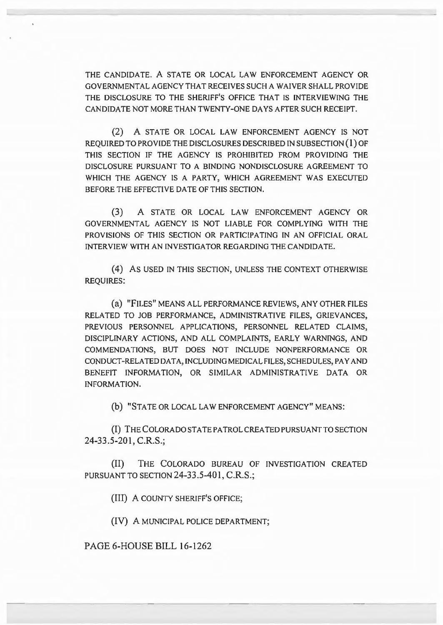THE CANDIDATE. A STATE OR LOCAL LAW ENFORCEMENT AGENCY OR GOVERNMENTAL AGENCY THAT RECEIVES SUCH A WAIVER SHALL PROVIDE THE DISCLOSURE TO THE SHERIFF'S OFFICE THAT IS INTERVIEWING THE CANDIDATE NOT MORE THAN TWENTY-ONE DAYS AFTER SUCH RECEIPT.

(2) A STATE OR LOCAL LAW ENFORCEMENT AGENCY IS NOT REQUIRED TO PROVIDE THE DISCLOSURES DESCRIBED IN SUBSECTION {l) OF THIS SECTION IF THE AGENCY IS PROHIBITED FROM PROVIDING THE DISCLOSURE PURSUANT TO A BINDING NONDISCLOSURE AGREEMENT TO WHICH THE AGENCY IS A PARTY, WHICH AGREEMENT WAS EXECUTED BEFORE THE EFFECTIVE DATE OF THIS SECTION.

(3) A STATE OR LOCAL LAW ENFORCEMENT AGENCY OR GOVERNMENTAL AGENCY IS NOT LIABLE FOR COMPLYING WITH THE PROVISIONS OF THIS SECTION OR PARTICIPATING IN AN OFFICIAL ORAL INTERVIEW WITH AN INVESTIGATOR REGARDING THE CANDIDATE.

(4) AS USED IN THIS SECTION, UNLESS THE CONTEXT OTHERWISE REQUIRES:

(a) "FILES" MEANS ALL PERFORMANCE REVIEWS, ANY OTHER FILES RELATED TO JOB PERFORMANCE, ADMINISTRATIVE FILES, GRIEVANCES, PREVIOUS PERSONNEL APPLICATIONS, PERSONNEL RELATED CLAIMS, DISCIPLINARY ACTIONS, AND ALL COMPLAINTS, EARLY WARNINGS, AND COMMENDATIONS, BUT DOES NOT INCLUDE NONPERFORMANCE OR CONDUCT-RELATED DATA, INCLUDING MEDICAL FILES, SCHEDULES, PAY AND BENEFIT INFORMATION, OR SIMILAR ADMINISTRATIVE DATA OR INFORMATION.

(b) "STATE OR LOCAL LAW ENFORCEMENT AGENCY" MEANS:

(I) THE COLORADO STA TE PATROL CREA TED PURSUANT TO SECTION 24-33.5-201, C.R.S.;

(II) THE COLORADO BUREAU OF INVESTIGATION CREATED PURSUANT TO SECTION 24-33.5-401, C.R.S.;

(III) A COUNTY SHERIFF'S OFFICE;

(IV) A MUNICIPAL POLICE DEPARTMENT;

PAGE 6-HOUSE BILL 16-1262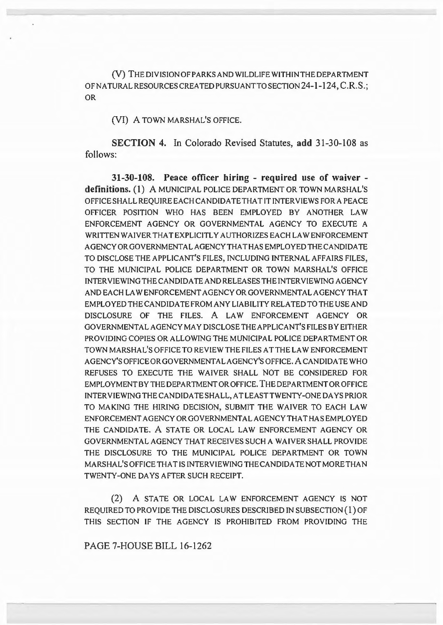(V) THE DIVISION OF PARKS AND WILDLIFE WITHIN THE DEPARTMENT OF NATURAL RESOURCES CREATED PURSUANT TO SECTION 24-1-124, C.R.S.; OR

(VI) A TOWN MARSHAL'S OFFICE.

SECTION 4. In Colorado Revised Statutes, add 31-30-108 as follows:

31-30-108. Peace officer hiring - required use of waiver definitions. (1) A MUNICIPAL POLICE DEPARTMENT OR TOWN MARSHAL'S OFFICE SHALL REQUIRE EACH CANDIDATE THAT IT INTERVIEWS FOR A PEACE OFFICER POSITION WHO HAS BEEN EMPLOYED BY ANOTHER LAW ENFORCEMENT AGENCY OR GOVERNMENTAL AGENCY TO EXECUTE A WRITTEN WAIVER THAT EXPLICITLY AUTHORIZES EACH LAW ENFORCEMENT AGENCY OR GOVERNMENTAL AGENCY THAT HAS EMPLOYED THE CANDIDATE TO DISCLOSE THE APPLICANT'S FILES, INCLUDING INTERNAL AFFAIRS FILES, TO THE MUNICIPAL POLICE DEPARTMENT OR TOWN MARSHAL'S OFFICE INTERVIEWING THE CANDIDA TE AND RELEASES THE INTERVIEWING AGENCY ANDEACHLAWENFORCEMENTAGENCYORGOVERNMENTALAGENCYTHAT EMPLOYED THE CANDIDA TE FROM ANY LIABILITY RELATED TO THE USE AND DISCLOSURE OF THE FILES. A LAW ENFORCEMENT AGENCY OR GOVERNMENTAL AGENCY MAY DISCLOSE THE APPLICANT'S FILES BY EITHER PROVIDING COPIES OR ALLOWING THE MUNICIPAL POLICE DEPARTMENT OR TOWN MARSHAL'S OFFICE TO REVIEW THE FILES A TTHE LAW ENFORCEMENT AGENCY'SOFFICEORGOVERNMENTALAGENCY'SOFFICE.ACANDIDATEWHO REFUSES TO EXECUTE THE WAIVER SHALL NOT BE CONSIDERED FOR EMPLOYMENT BY THE DEPARTMENT OR OFFICE. THE DEPARTMENT OR OFFICE INTERVIEWING THE CANDIDA TE SHALL, AT LEASTTWENTY-ONE DAYS PRIOR TO MAKING THE HIRING DECISION, SUBMIT THE WAIVER TO EACH LAW ENFORCEMENTAGENCYORGOVERNMENTALAGENCYTHATHASEMPLOYED THE CANDIDATE. A STATE OR LOCAL LAW ENFORCEMENT AGENCY OR GOVERNMENTAL AGENCY THAT RECEIVES SUCH A WAIVER SHALL PROVIDE THE DISCLOSURE TO THE MUNICIPAL POLICE DEPARTMENT OR TOWN MARSHAL'S OFFICE THAT IS INTERVIEWING THE CANDIDA TE NOT MORE THAN TWENTY-ONE DAYS AFTER SUCH RECEIPT.

(2) A STATE OR LOCAL LAW ENFORCEMENT AGENCY IS NOT REQUIRED TO PROVIDE THE DISCLOSURES DESCRIBED IN SUBSECTION ( 1) OF THIS SECTION IF THE AGENCY IS PROHIBITED FROM PROVIDING THE

PAGE 7-HOUSE BILL 16-1262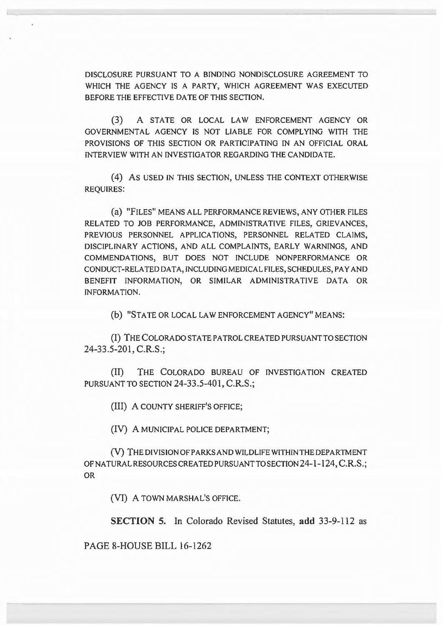DISCLOSURE PURSUANT TO A BINDING NONDISCLOSURE AGREEMENT TO WHICH THE AGENCY IS A PARTY, WHICH AGREEMENT WAS EXECUTED BEFORE THE EFFECTIVE DATE OF THIS SECTION.

(3) A STATE OR LOCAL LAW ENFORCEMENT AGENCY OR GOVERNMENTAL AGENCY IS NOT LIABLE FOR COMPLYING WITH THE PROVISIONS OF THIS SECTION OR PARTICIPATING IN AN OFFICIAL ORAL INTERVIEW WITH AN INVESTIGATOR REGARDING THE CANDIDATE.

(4) As USED IN THIS SECTION, UNLESS THE CONTEXT OTHERWISE REQUIRES:

(a) "FILES" MEANS ALL PERFORMANCE REVIEWS, ANY OTHER FILES RELATED TO JOB PERFORMANCE, ADMINISTRATIVE FILES, GRIEVANCES, PREVIOUS PERSONNEL APPLICATIONS, PERSONNEL RELATED CLAIMS, DISCIPLINARY ACTIONS, AND ALL COMPLAINTS, EARLY WARNINGS, AND COMMENDATIONS, BUT DOES NOT INCLUDE NONPERFORMANCE OR CONDUCT-RELATED DATA, INCLUDING MEDICAL FILES, SCHEDULES, PAY AND BENEFIT INFORMATION, OR SIMILAR ADMINISTRATIVE DATA OR INFORMATION.

(b) "STA TE OR LOCAL LAW ENFORCEMENT AGENCY" MEANS:

(I) THE COLORADO STA TE PATROL CREA TED PURSUANT TO SECTION 24-33.5-201, C.R.S.;

(II) THE COLORADO BUREAU OF INVESTIGATION CREATED PURSUANT TO SECTION 24-33.5-401, C.R.S.;

(III) A COUNTY SHERIFF'S OFFICE;

(IV) A MUNICIPAL POLICE DEPARTMENT;

(V) THE DIVISION OF PARKS AND WILDLIFE WITHIN THE DEPARTMENT OF NATURAL RESOURCES CREATED PURSUANT TO SECTION 24-1-124, C.R.S.; OR

(VI) A TOWN MARSHAL'S OFFICE.

SECTION 5. In Colorado Revised Statutes, add 33-9-112 as

PAGE 8-HOUSE BILL 16-1262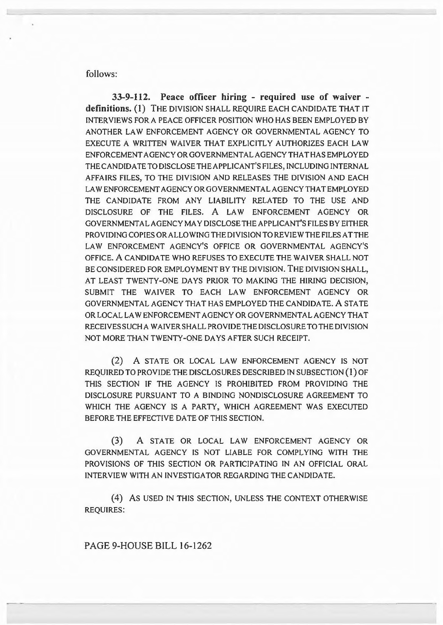follows:

33-9-112. Peace officer hiring - required use of waiver definitions. (1) THE DIVISION SHALL REQUIRE EACH CANDIDATE THAT IT INTERVIEWS FOR A PEACE OFFICER POSITION WHO HAS BEEN EMPLOYED BY ANOTHER LAW ENFORCEMENT AGENCY OR GOVERNMENTAL AGENCY TO EXECUTE A WRITTEN WAIVER THAT EXPLICITLY AUTHORIZES EACH LAW ENFORCEMENTAGENCYORGOVERNMENTALAGENCYTHATHASEMPLOYED THE CANDIDATE TO DISCLOSE THE APPLICANT'S FILES, INCLUDING INTERNAL AFFAIRS FILES, TO THE DIVISION AND RELEASES THE DIVISION AND EACH LAWENFORCEMENTAGENCYORGOVERNMENTALAGENCYTHATEMPLOYED THE CANDIDATE FROM ANY LIABILITY RELATED TO THE USE AND DISCLOSURE OF THE FILES. A LAW ENFORCEMENT AGENCY OR GOVERNMENTAL AGENCY MAY DISCLOSE THE APPLICANT'S FILES BY EITHER PROVIDING COPIES OR ALLOWING THE DIVISION TO REVIEW THE FILES ATTHE LAW ENFORCEMENT AGENCY'S OFFICE OR GOVERNMENTAL AGENCY'S OFFICE. A CANDIDATE WHO REFUSES TO EXECUTE THE WAIVER SHALL NOT BE CONSIDERED FOR EMPLOYMENT BY THE DIVISION. THE DIVISION SHALL, AT LEAST TWENTY-ONE DAYS PRIOR TO MAKING THE HIRING DECISION, SUBMIT THE WAIVER TO EACH LAW ENFORCEMENT AGENCY OR GOVERNMENTAL AGENCY THAT HAS EMPLOYED THE CANDIDATE. A STATE OR LOCAL LAW ENFORCEMENT AGENCY OR GOVERNMENTAL AGENCY THAT RECEIVES SUCH AW AIYER SHALL PROVIDE THE DISCLOSURE TO THE DIVISION NOT MORE THAN TWENTY-ONE DAYS AFTER SUCH RECEIPT.

(2) A STATE OR LOCAL LAW ENFORCEMENT AGENCY IS NOT REQUIRED TO PROVIDE THE DISCLOSURES DESCRIBED IN SUBSECTION {l) OF THIS SECTION IF THE AGENCY IS PROHIBITED FROM PROVIDING THE DISCLOSURE PURSUANT TO A BINDING NONDISCLOSURE AGREEMENT TO WHICH THE AGENCY IS A PARTY, WHICH AGREEMENT WAS EXECUTED BEFORE THE EFFECTIVE DATE OF THIS SECTION.

(3) A STATE OR LOCAL LAW ENFORCEMENT AGENCY OR GOVERNMENTAL AGENCY IS NOT LIABLE FOR COMPLYING WITH THE PROVISIONS OF THIS SECTION OR PARTICIPATING IN AN OFFICIAL ORAL INTERVIEW WITH AN INVESTIGATOR REGARDING THE CANDIDATE.

(4) AS USED IN THIS SECTION, UNLESS THE CONTEXT OTHERWISE REQUIRES:

PAGE 9-HOUSE BILL 16-1262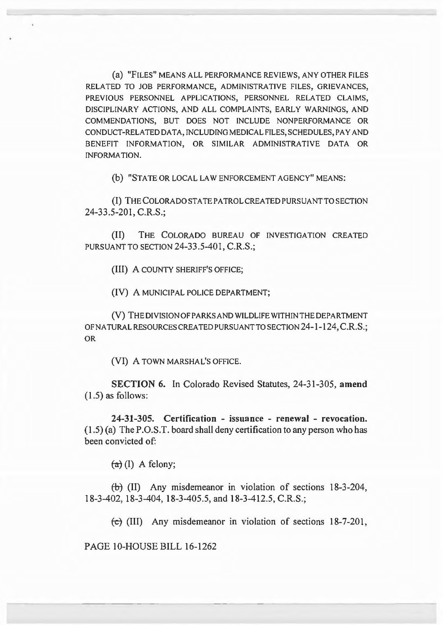(a) "FILES" MEANS ALL PERFORMANCE REVIEWS, ANY OTHER FILES RELATED TO JOB PERFORMANCE, ADMINISTRATIVE FILES, GRIEVANCES, PREVIOUS PERSONNEL APPLICATIONS, PERSONNEL RELATED CLAIMS, DISCIPLINARY ACTIONS, AND ALL COMPLAINTS, EARLY WARNINGS, AND COMMENDATIONS, BUT DOES NOT INCLUDE NONPERFORMANCE OR CONDUCT-RELATED DATA, INCLUDING MEDICAL FILES, SCHEDULES, PAY AND BENEFIT INFORMATION, OR SIMILAR ADMINISTRATIVE DATA OR INFORMATION.

(b) "STATE OR LOCAL LAW ENFORCEMENT AGENCY" MEANS:

(I) THE COLORADO STA TE PATROL CREA TED PURSUANT TO SECTION 24-33.5-201, C.R.S.;

(II) THE COLORADO BUREAU OF INVESTIGATION CREATED PURSUANT TO SECTION 24-33.5-401, C.R.S.;

(III) A COUNTY SHERIFF'S OFFICE;

(IV) A MUNICIPAL POLICE DEPARTMENT;

(V) THEDIVISIONOFPARKSANDWILDLIFEWITHINTHEDEPARTMENT OFNA TURAL RESOURCES CREA TED PURSUANT TO SECTION 24-1-124, C.R.S.; OR

(VI) A TOWN MARSHAL'S OFFICE.

SECTION 6. In Colorado Revised Statutes, 24-31-305, amend (1.5) as follows:

24-31-305. Certification - issuance - renewal - revocation. (1.5) (a) The P.O.S.T. board shall deny certification to any person who has been convicted of:

 $(a)$  (I) A felony;

 $(+)$  (II) Any misdemeanor in violation of sections 18-3-204, 18-3-402, 18-3-404, 18-3-405.5, and 18-3-412.5, C.R.S.;

 $\left(\frac{1}{2}\right)$  (III) Any misdemeanor in violation of sections 18-7-201,

PAGE 10-HOUSE BILL 16-1262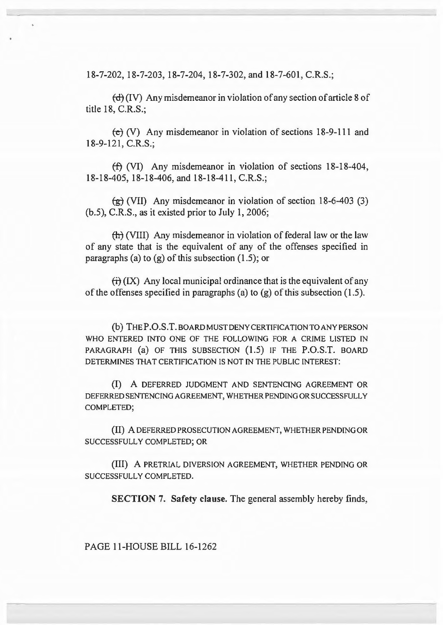18-7-202, 18-7-203, 18-7-204, 18-7-302, and 18-7-601, C.R.S.;

*td]* {IV) Any misdemeanor in violation of any section of article 8 of title 18, C.R.S.;

 $\left(\frac{1}{2}\right)$  (V) Any misdemeanor in violation of sections 18-9-111 and 18-9-121, C.R.S.;

 $(f)$  (VI) Any misdemeanor in violation of sections 18-18-404, 18-18-405, 18-18-406, and 18-18-411, C.R.S.;

 $\left(\frac{1}{2}\right)$  (VII) Any misdemeanor in violation of section 18-6-403 (3) (b.5), C.R.S., as it existed prior to July 1, 2006;

(h) (VIII) Any misdemeanor in violation of federal law or the law of any state that is the equivalent of any of the offenses specified in paragraphs (a) to  $(g)$  of this subsection  $(1.5)$ ; or

 $f(x)$  Any local municipal ordinance that is the equivalent of any of the offenses specified in paragraphs (a) to  $(g)$  of this subsection (1.5).

(b) THEP.0.S.T.BOARDMUSTDENYCERTIFICATIONTOANYPERSON WHO ENTERED INTO ONE OF THE FOLLOWING FOR A CRIME LISTED IN PARAGRAPH (a) OF THIS SUBSECTION (1.5) IF THE P.O.S.T. BOARD DETERMINES THAT CERTIFICATION IS NOT IN THE PUBLIC INTEREST:

(I) A DEFERRED JUDGMENT AND SENTENCING AGREEMENT OR DEFERRED SENTENClNG AGREEMENT, WHETHER PENDING OR SUCCESSFULLY COMPLETED;

(II) A DEFERRED PROSECUTION AGREEMENT, WHETHER PENDING OR SUCCESSFULLY COMPLETED; OR

(Ill) A PRETRIAL DIVERSION AGREEMENT, WHETHER PENDING OR SUCCESSFULLY COMPLETED.

SECTION 7. Safety clause. The general assembly hereby finds,

PAGE 11-HOUSE BILL 16-1262